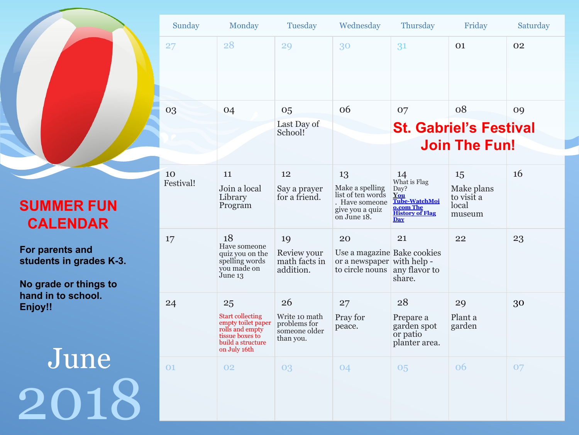|                                                                     | Sunday          | Monday                                                                                                                         | Tuesday                                                           | Wednesday                                                                                        | Thursday                                                                                                         | Friday                                            | Saturday |
|---------------------------------------------------------------------|-----------------|--------------------------------------------------------------------------------------------------------------------------------|-------------------------------------------------------------------|--------------------------------------------------------------------------------------------------|------------------------------------------------------------------------------------------------------------------|---------------------------------------------------|----------|
|                                                                     | 27              | 28                                                                                                                             | 29                                                                | 30                                                                                               | 31                                                                                                               | 01                                                | 02       |
|                                                                     | 03              | 04                                                                                                                             | 05                                                                | 06                                                                                               | 07                                                                                                               | 08                                                | 09       |
|                                                                     |                 |                                                                                                                                | Last Day of<br>School!                                            |                                                                                                  |                                                                                                                  | <b>St. Gabriel's Festival</b>                     |          |
|                                                                     |                 |                                                                                                                                |                                                                   |                                                                                                  |                                                                                                                  | <b>Join The Fun!</b>                              |          |
| <b>SUMMER FUN</b><br><b>CALENDAR</b>                                | 10<br>Festival! | 11<br>Join a local<br>Library<br>Program                                                                                       | 12<br>Say a prayer<br>for a friend.                               | 13<br>Make a spelling<br>list of ten words<br>. Have someone<br>give you a quiz<br>on June 18.   | $\frac{14}{4}$ What is Flag<br>Day?<br>You<br>Tube-WatchMoj<br>o.com The<br><b>History of Flag</b><br><b>Day</b> | 15<br>Make plans<br>to visit a<br>local<br>museum | 16       |
| For parents and<br>students in grades K-3.<br>No grade or things to | 17              | 18<br>Have someone<br>quiz you on the<br>spelling words<br>you made on<br>June 13                                              | 19<br>Review your<br>math facts in<br>addition.                   | 20<br>Use a magazine Bake cookies<br>or a newspaper with help -<br>to circle nouns any flavor to | 21<br>share.                                                                                                     | 22                                                | 23       |
| hand in to school.<br>Enjoy!!                                       | 24              | 25<br><b>Start collecting</b><br>empty toilet paper<br>rolls and empty<br>tissue boxes to<br>build a structure<br>on July 16th | 26<br>Write 10 math<br>problems for<br>someone older<br>than you. | 27<br>Pray for<br>peace.                                                                         | 28<br>Prepare a<br>garden spot<br>or patio<br>planter area.                                                      | 29<br>Plant a<br>garden                           | 30       |
| June                                                                | 01              | 02                                                                                                                             | 03                                                                | 04                                                                                               | 05                                                                                                               | 06                                                | 07       |
| 2018                                                                |                 |                                                                                                                                |                                                                   |                                                                                                  |                                                                                                                  |                                                   |          |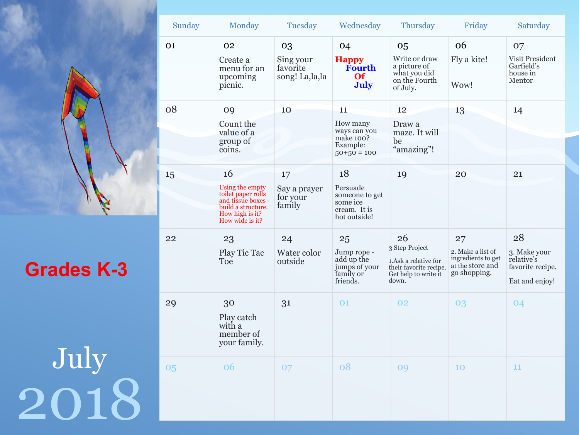|                   | 01 | 02                                                                                                  |
|-------------------|----|-----------------------------------------------------------------------------------------------------|
|                   |    | Create a<br>menu for<br>upcoming<br>picnic.                                                         |
|                   | 08 | 09                                                                                                  |
|                   |    | Count the<br>value of a<br>group of<br>coins.                                                       |
|                   | 15 | 16                                                                                                  |
|                   |    | Using the em<br>toilet paper r<br>and tissue bo<br>build a struct<br>How high is i<br>How wide is i |
| <b>Grades K-3</b> | 22 | 23<br>Play Tic T<br>Toe                                                                             |
|                   | 29 | 30<br>Play catch<br>with a<br>member o<br>your famil                                                |
| July<br>$\bullet$ | 05 | 06                                                                                                  |
|                   |    |                                                                                                     |

|          | Sunday | Monday                                                                                                                  | Tuesday                                 | Wednesday                                                                 | Thursday                                                                                                | Friday                                                                            | Saturday                                                               |
|----------|--------|-------------------------------------------------------------------------------------------------------------------------|-----------------------------------------|---------------------------------------------------------------------------|---------------------------------------------------------------------------------------------------------|-----------------------------------------------------------------------------------|------------------------------------------------------------------------|
|          | 01     | 02                                                                                                                      | 03                                      | 04                                                                        | 05                                                                                                      | 06                                                                                | 07                                                                     |
|          |        | Create a<br>menu for an<br>upcoming<br>picnic.                                                                          | Sing your<br>favorite<br>song! La,la,la | <b>Happy</b><br>Fourth<br><b>Of</b><br><b>July</b>                        | Write or draw<br>a picture of<br>what you did<br>on the Fourth<br>of July.                              | Fly a kite!<br>Wow!                                                               | Visit President<br>Garfield's<br>house in<br>Mentor                    |
|          | 08     | 09                                                                                                                      | 10                                      | 11                                                                        | 12                                                                                                      | 13                                                                                | 14                                                                     |
|          |        | Count the<br>value of a<br>group of<br>coins.                                                                           |                                         | How many<br>ways can you<br>make 100?<br>Example:<br>$50+50=100$          | Draw a<br>maze. It will<br>be<br>"amazing"!                                                             |                                                                                   |                                                                        |
|          | 15     | 16                                                                                                                      | 17                                      | 18                                                                        | 19                                                                                                      | 20                                                                                | 21                                                                     |
|          |        | Using the empty<br>toilet paper rolls<br>and tissue boxes -<br>build a structure.<br>How high is it?<br>How wide is it? | Say a prayer<br>for your<br>family      | Persuade<br>someone to get<br>some ice<br>cream. It is<br>hot outside!    |                                                                                                         |                                                                                   |                                                                        |
| ades K-3 | 22     | 23<br>Play Tic Tac<br>Toe                                                                                               | 24<br>Water color<br>outside            | 25<br>Jump rope -<br>add up the<br>jumps of your<br>family or<br>friends. | 26<br>3 Step Project<br>1.Ask a relative for<br>their favorite recipe.<br>Get help to write it<br>down. | 27<br>2. Make a list of<br>ingredients to get<br>at the store and<br>go shopping. | 28<br>3. Make your<br>relative's<br>favorite recipe.<br>Eat and enjoy! |
|          | 29     | 30<br>Play catch<br>with a<br>member of<br>your family.                                                                 | 31                                      | 01                                                                        | 02                                                                                                      | 03                                                                                | 04                                                                     |
| July     | 05     | 06                                                                                                                      | 07                                      | 08                                                                        | 09                                                                                                      | 10                                                                                | 11                                                                     |
|          |        |                                                                                                                         |                                         |                                                                           |                                                                                                         |                                                                                   |                                                                        |